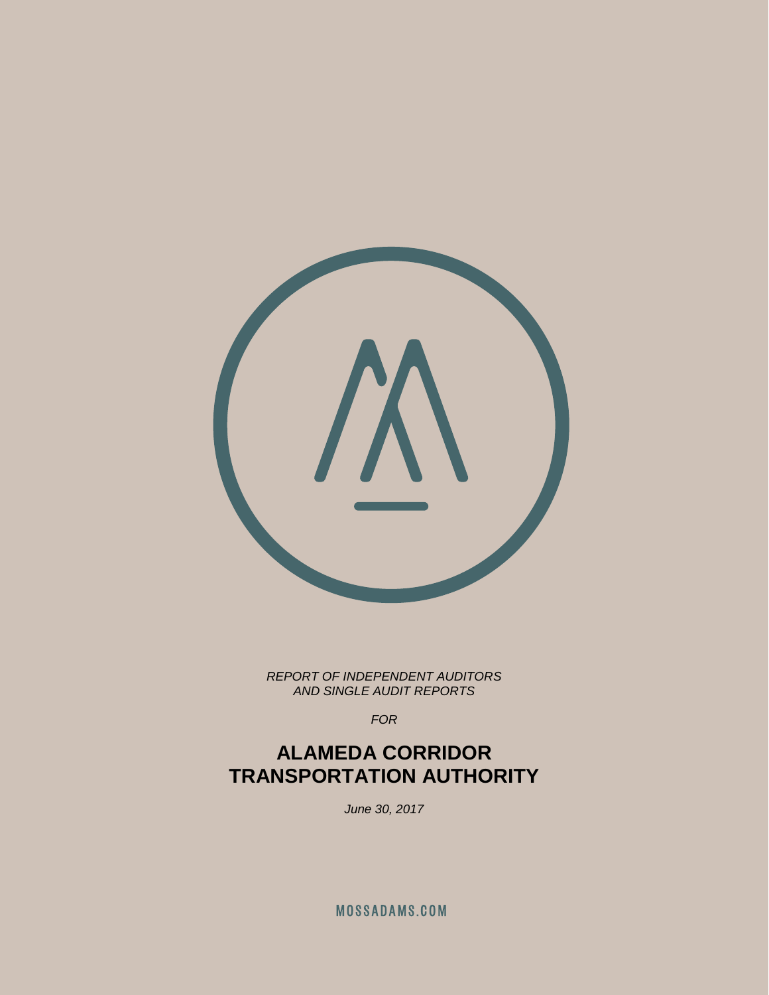

*REPORT OF INDEPENDENT AUDITORS AND SINGLE AUDIT REPORTS* 

*FOR*

## **ALAMEDA CORRIDOR TRANSPORTATION AUTHORITY**

*June 30, 2017*

MOSSADAMS.COM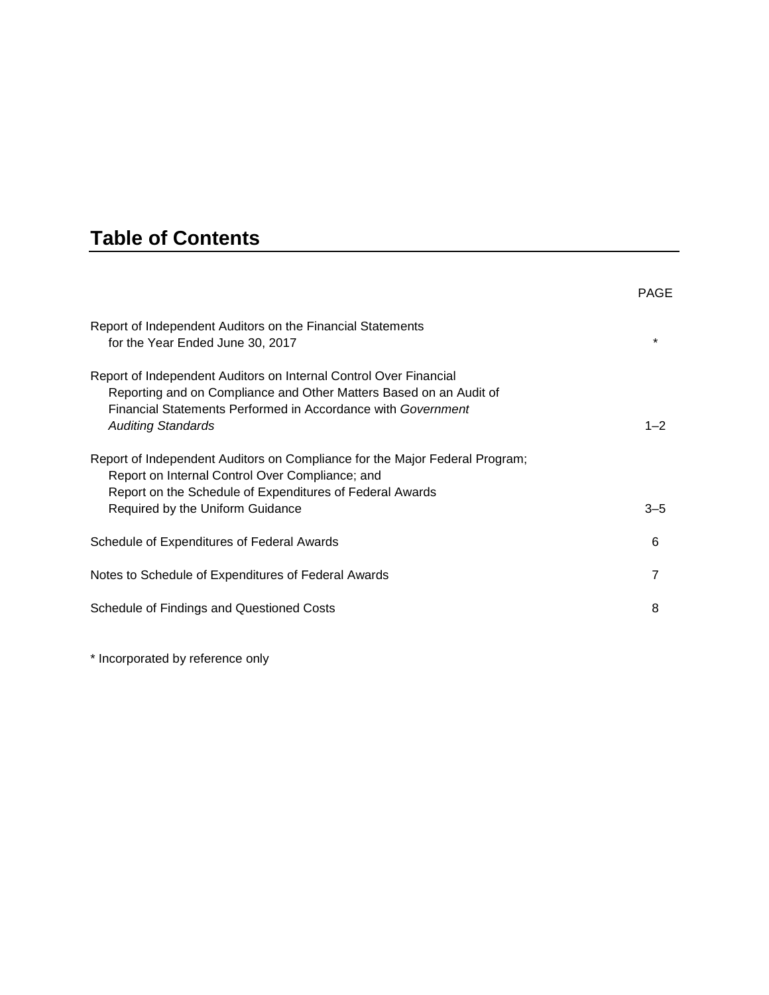# **Table of Contents**

|                                                                                                                                                                                                                                      | PAGE    |
|--------------------------------------------------------------------------------------------------------------------------------------------------------------------------------------------------------------------------------------|---------|
| Report of Independent Auditors on the Financial Statements<br>for the Year Ended June 30, 2017                                                                                                                                       |         |
| Report of Independent Auditors on Internal Control Over Financial<br>Reporting and on Compliance and Other Matters Based on an Audit of<br>Financial Statements Performed in Accordance with Government<br><b>Auditing Standards</b> | $1 - 2$ |
| Report of Independent Auditors on Compliance for the Major Federal Program;<br>Report on Internal Control Over Compliance; and<br>Report on the Schedule of Expenditures of Federal Awards<br>Required by the Uniform Guidance       | $3 - 5$ |
| Schedule of Expenditures of Federal Awards                                                                                                                                                                                           | 6       |
| Notes to Schedule of Expenditures of Federal Awards                                                                                                                                                                                  | 7       |
| Schedule of Findings and Questioned Costs                                                                                                                                                                                            | 8       |
|                                                                                                                                                                                                                                      |         |

\* Incorporated by reference only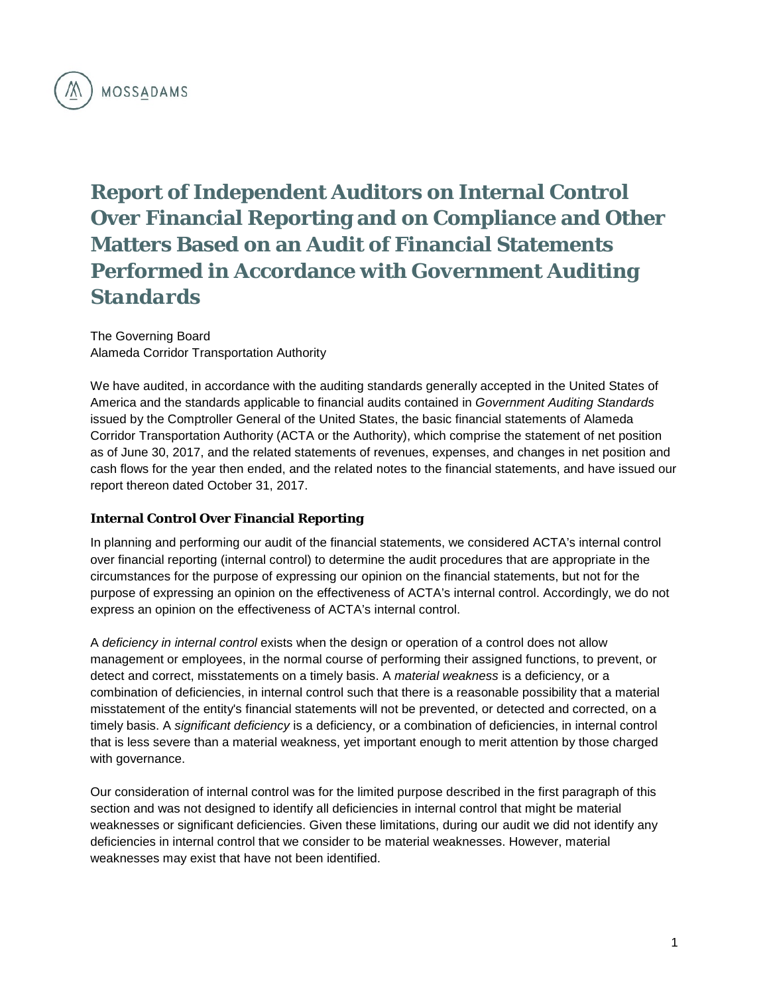**MOSSADAMS** 

# **Report of Independent Auditors on Internal Control Over Financial Reporting and on Compliance and Other Matters Based on an Audit of Financial Statements Performed in Accordance with** *Government Auditing Standards*

The Governing Board Alameda Corridor Transportation Authority

We have audited, in accordance with the auditing standards generally accepted in the United States of America and the standards applicable to financial audits contained in *Government Auditing Standards* issued by the Comptroller General of the United States, the basic financial statements of Alameda Corridor Transportation Authority (ACTA or the Authority), which comprise the statement of net position as of June 30, 2017, and the related statements of revenues, expenses, and changes in net position and cash flows for the year then ended, and the related notes to the financial statements, and have issued our report thereon dated October 31, 2017.

#### **Internal Control Over Financial Reporting**

In planning and performing our audit of the financial statements, we considered ACTA's internal control over financial reporting (internal control) to determine the audit procedures that are appropriate in the circumstances for the purpose of expressing our opinion on the financial statements, but not for the purpose of expressing an opinion on the effectiveness of ACTA's internal control. Accordingly, we do not express an opinion on the effectiveness of ACTA's internal control.

A *deficiency in internal control* exists when the design or operation of a control does not allow management or employees, in the normal course of performing their assigned functions, to prevent, or detect and correct, misstatements on a timely basis. A *material weakness* is a deficiency, or a combination of deficiencies, in internal control such that there is a reasonable possibility that a material misstatement of the entity's financial statements will not be prevented, or detected and corrected, on a timely basis. A *significant deficiency* is a deficiency, or a combination of deficiencies, in internal control that is less severe than a material weakness, yet important enough to merit attention by those charged with governance.

Our consideration of internal control was for the limited purpose described in the first paragraph of this section and was not designed to identify all deficiencies in internal control that might be material weaknesses or significant deficiencies. Given these limitations, during our audit we did not identify any deficiencies in internal control that we consider to be material weaknesses. However, material weaknesses may exist that have not been identified.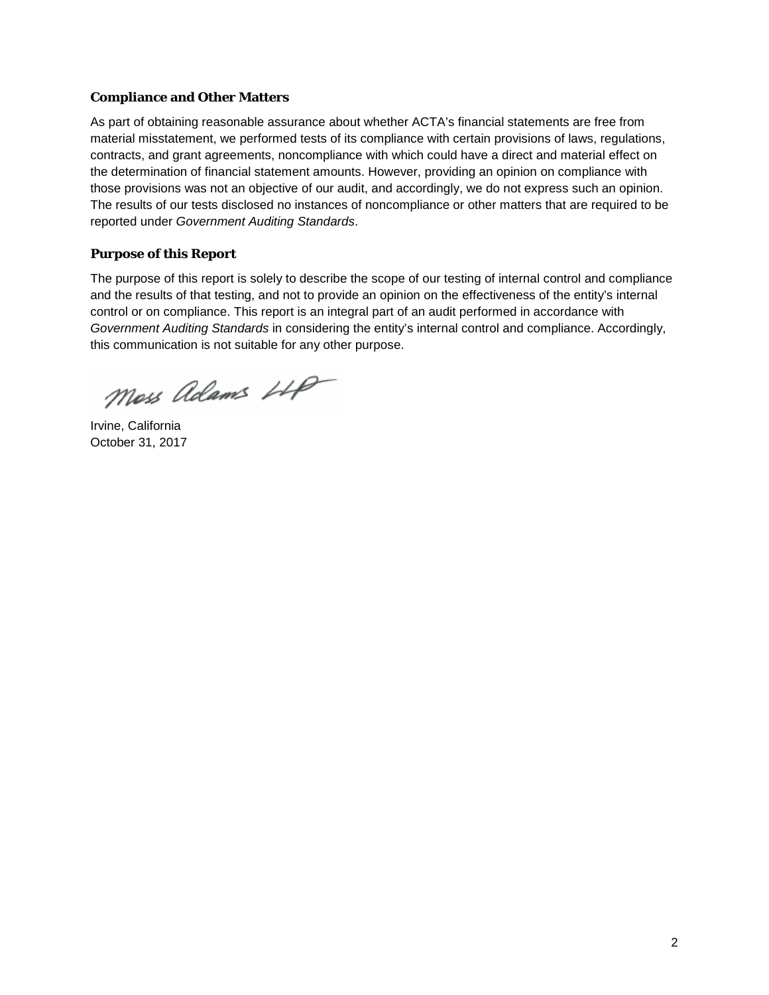#### **Compliance and Other Matters**

As part of obtaining reasonable assurance about whether ACTA's financial statements are free from material misstatement, we performed tests of its compliance with certain provisions of laws, regulations, contracts, and grant agreements, noncompliance with which could have a direct and material effect on the determination of financial statement amounts. However, providing an opinion on compliance with those provisions was not an objective of our audit, and accordingly, we do not express such an opinion. The results of our tests disclosed no instances of noncompliance or other matters that are required to be reported under *Government Auditing Standards*.

#### **Purpose of this Report**

The purpose of this report is solely to describe the scope of our testing of internal control and compliance and the results of that testing, and not to provide an opinion on the effectiveness of the entity's internal control or on compliance. This report is an integral part of an audit performed in accordance with *Government Auditing Standards* in considering the entity's internal control and compliance. Accordingly, this communication is not suitable for any other purpose.

Moss Adams LLP

Irvine, California October 31, 2017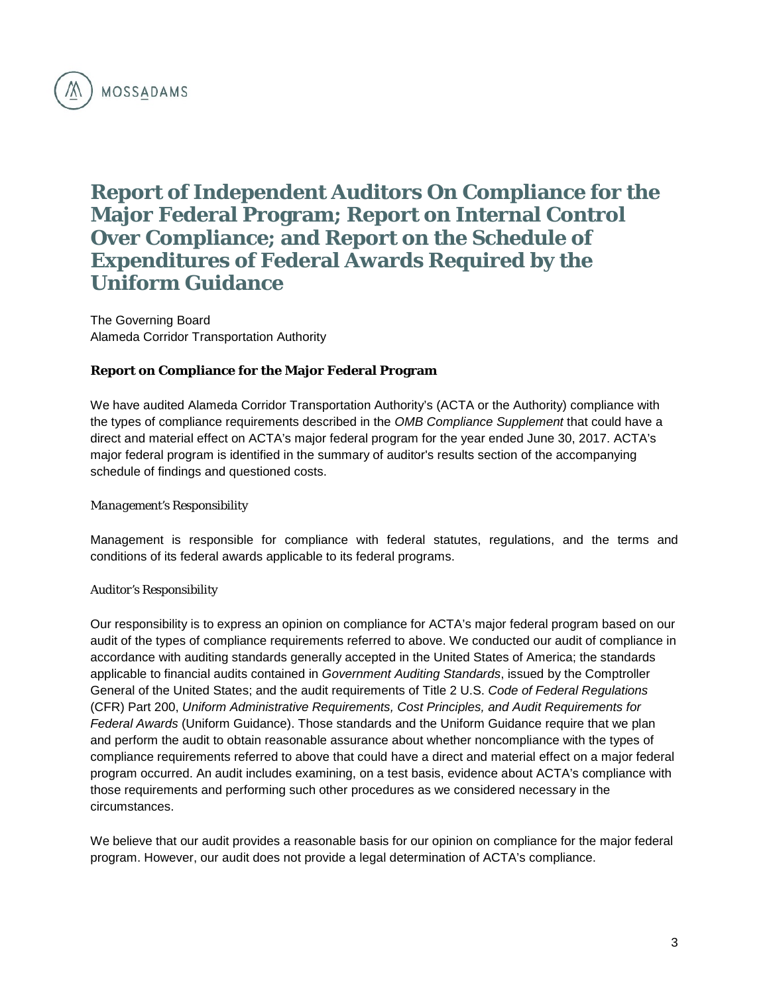

## **Report of Independent Auditors On Compliance for the Major Federal Program; Report on Internal Control Over Compliance; and Report on the Schedule of Expenditures of Federal Awards Required by the Uniform Guidance**

The Governing Board Alameda Corridor Transportation Authority

#### **Report on Compliance for the Major Federal Program**

We have audited Alameda Corridor Transportation Authority's (ACTA or the Authority) compliance with the types of compliance requirements described in the *OMB Compliance Supplement* that could have a direct and material effect on ACTA's major federal program for the year ended June 30, 2017. ACTA's major federal program is identified in the summary of auditor's results section of the accompanying schedule of findings and questioned costs.

#### *Management's Responsibility*

Management is responsible for compliance with federal statutes, regulations, and the terms and conditions of its federal awards applicable to its federal programs.

#### *Auditor's Responsibility*

Our responsibility is to express an opinion on compliance for ACTA's major federal program based on our audit of the types of compliance requirements referred to above. We conducted our audit of compliance in accordance with auditing standards generally accepted in the United States of America; the standards applicable to financial audits contained in *Government Auditing Standards*, issued by the Comptroller General of the United States; and the audit requirements of Title 2 U.S. *Code of Federal Regulations* (CFR) Part 200, *Uniform Administrative Requirements, Cost Principles, and Audit Requirements for Federal Awards* (Uniform Guidance). Those standards and the Uniform Guidance require that we plan and perform the audit to obtain reasonable assurance about whether noncompliance with the types of compliance requirements referred to above that could have a direct and material effect on a major federal program occurred. An audit includes examining, on a test basis, evidence about ACTA's compliance with those requirements and performing such other procedures as we considered necessary in the circumstances.

We believe that our audit provides a reasonable basis for our opinion on compliance for the major federal program. However, our audit does not provide a legal determination of ACTA's compliance.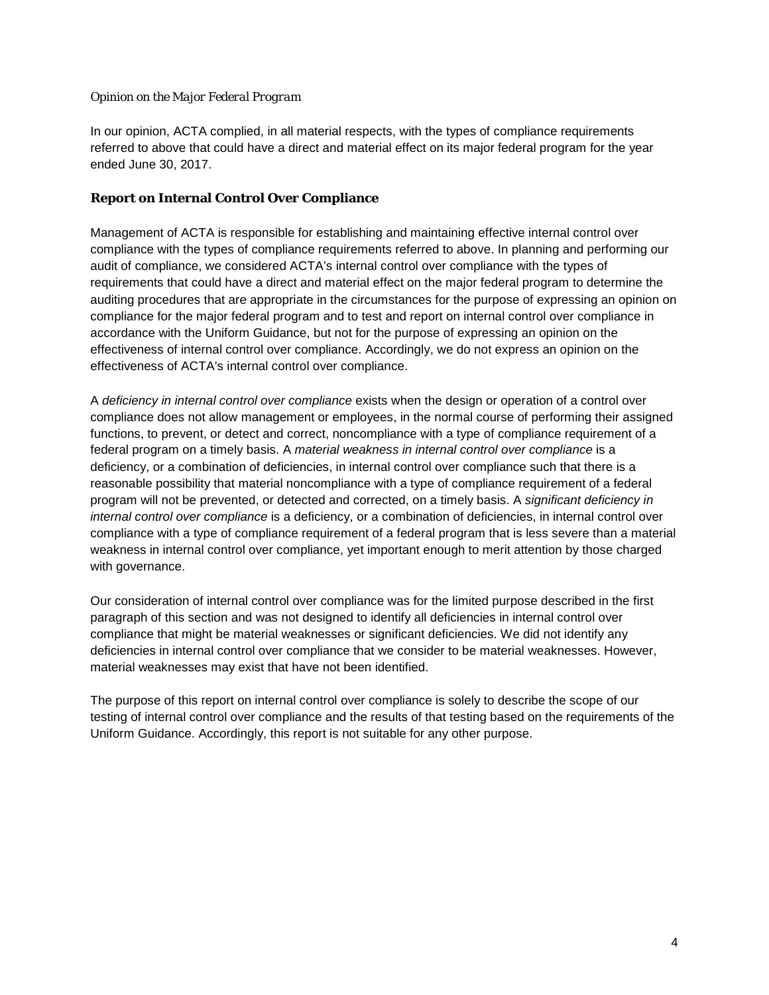#### *Opinion on the Major Federal Program*

In our opinion, ACTA complied, in all material respects, with the types of compliance requirements referred to above that could have a direct and material effect on its major federal program for the year ended June 30, 2017.

#### **Report on Internal Control Over Compliance**

Management of ACTA is responsible for establishing and maintaining effective internal control over compliance with the types of compliance requirements referred to above. In planning and performing our audit of compliance, we considered ACTA's internal control over compliance with the types of requirements that could have a direct and material effect on the major federal program to determine the auditing procedures that are appropriate in the circumstances for the purpose of expressing an opinion on compliance for the major federal program and to test and report on internal control over compliance in accordance with the Uniform Guidance, but not for the purpose of expressing an opinion on the effectiveness of internal control over compliance. Accordingly, we do not express an opinion on the effectiveness of ACTA's internal control over compliance.

A *deficiency in internal control over compliance* exists when the design or operation of a control over compliance does not allow management or employees, in the normal course of performing their assigned functions, to prevent, or detect and correct, noncompliance with a type of compliance requirement of a federal program on a timely basis. A *material weakness in internal control over compliance* is a deficiency, or a combination of deficiencies, in internal control over compliance such that there is a reasonable possibility that material noncompliance with a type of compliance requirement of a federal program will not be prevented, or detected and corrected, on a timely basis. A *significant deficiency in internal control over compliance* is a deficiency, or a combination of deficiencies, in internal control over compliance with a type of compliance requirement of a federal program that is less severe than a material weakness in internal control over compliance, yet important enough to merit attention by those charged with governance.

Our consideration of internal control over compliance was for the limited purpose described in the first paragraph of this section and was not designed to identify all deficiencies in internal control over compliance that might be material weaknesses or significant deficiencies. We did not identify any deficiencies in internal control over compliance that we consider to be material weaknesses. However, material weaknesses may exist that have not been identified.

The purpose of this report on internal control over compliance is solely to describe the scope of our testing of internal control over compliance and the results of that testing based on the requirements of the Uniform Guidance. Accordingly, this report is not suitable for any other purpose.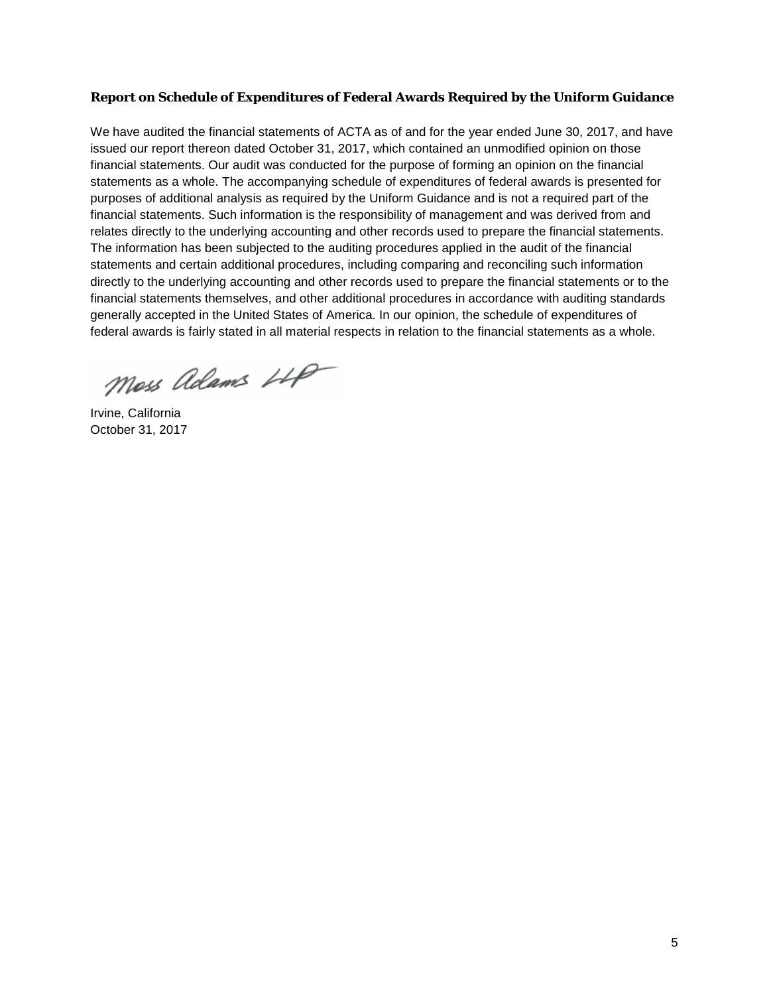#### **Report on Schedule of Expenditures of Federal Awards Required by the Uniform Guidance**

We have audited the financial statements of ACTA as of and for the year ended June 30, 2017, and have issued our report thereon dated October 31, 2017, which contained an unmodified opinion on those financial statements. Our audit was conducted for the purpose of forming an opinion on the financial statements as a whole. The accompanying schedule of expenditures of federal awards is presented for purposes of additional analysis as required by the Uniform Guidance and is not a required part of the financial statements. Such information is the responsibility of management and was derived from and relates directly to the underlying accounting and other records used to prepare the financial statements. The information has been subjected to the auditing procedures applied in the audit of the financial statements and certain additional procedures, including comparing and reconciling such information directly to the underlying accounting and other records used to prepare the financial statements or to the financial statements themselves, and other additional procedures in accordance with auditing standards generally accepted in the United States of America. In our opinion, the schedule of expenditures of federal awards is fairly stated in all material respects in relation to the financial statements as a whole.

Moss Adams LLP

Irvine, California October 31, 2017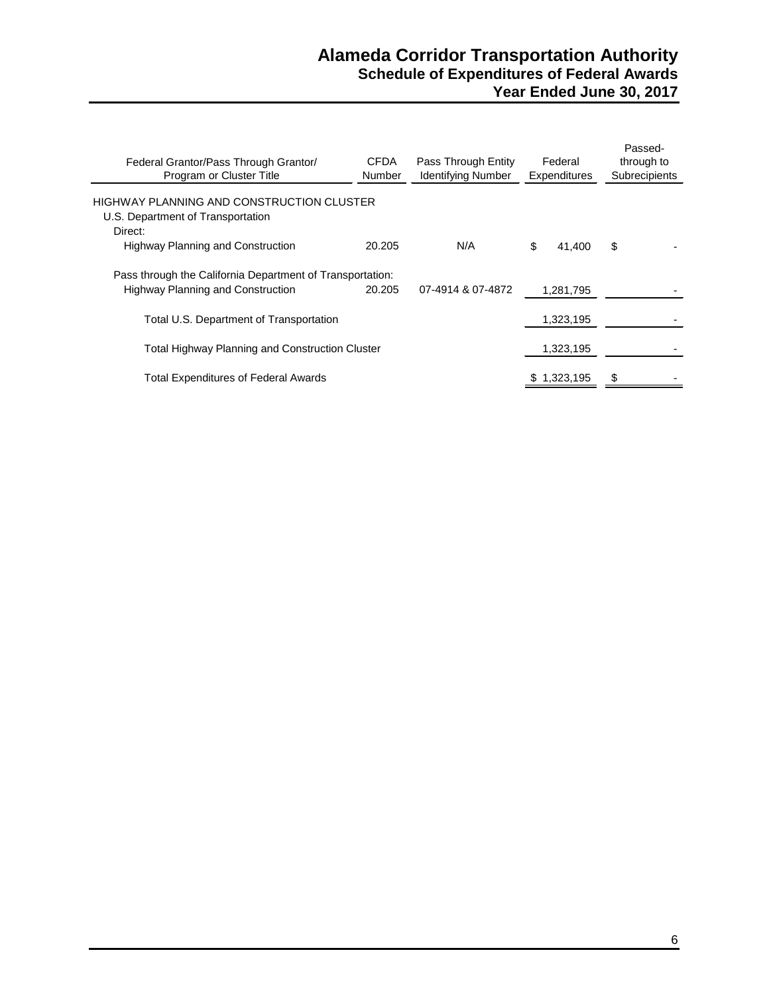## **Alameda Corridor Transportation Authority Schedule of Expenditures of Federal Awards Year Ended June 30, 2017**

| Federal Grantor/Pass Through Grantor/<br>Program or Cluster Title                                     | <b>CFDA</b><br>Number | Pass Through Entity<br><b>Identifying Number</b> | Federal<br>Expenditures | Passed-<br>through to<br>Subrecipients |
|-------------------------------------------------------------------------------------------------------|-----------------------|--------------------------------------------------|-------------------------|----------------------------------------|
| HIGHWAY PLANNING AND CONSTRUCTION CLUSTER<br>U.S. Department of Transportation<br>Direct:             |                       |                                                  |                         |                                        |
| <b>Highway Planning and Construction</b>                                                              | 20.205                | N/A                                              | \$<br>41.400            | \$                                     |
| Pass through the California Department of Transportation:<br><b>Highway Planning and Construction</b> | 20,205                | 07-4914 & 07-4872                                | 1,281,795               |                                        |
| Total U.S. Department of Transportation                                                               |                       |                                                  | 1,323,195               |                                        |
| Total Highway Planning and Construction Cluster                                                       |                       |                                                  | 1,323,195               |                                        |
| <b>Total Expenditures of Federal Awards</b>                                                           |                       |                                                  | 1,323,195               | \$                                     |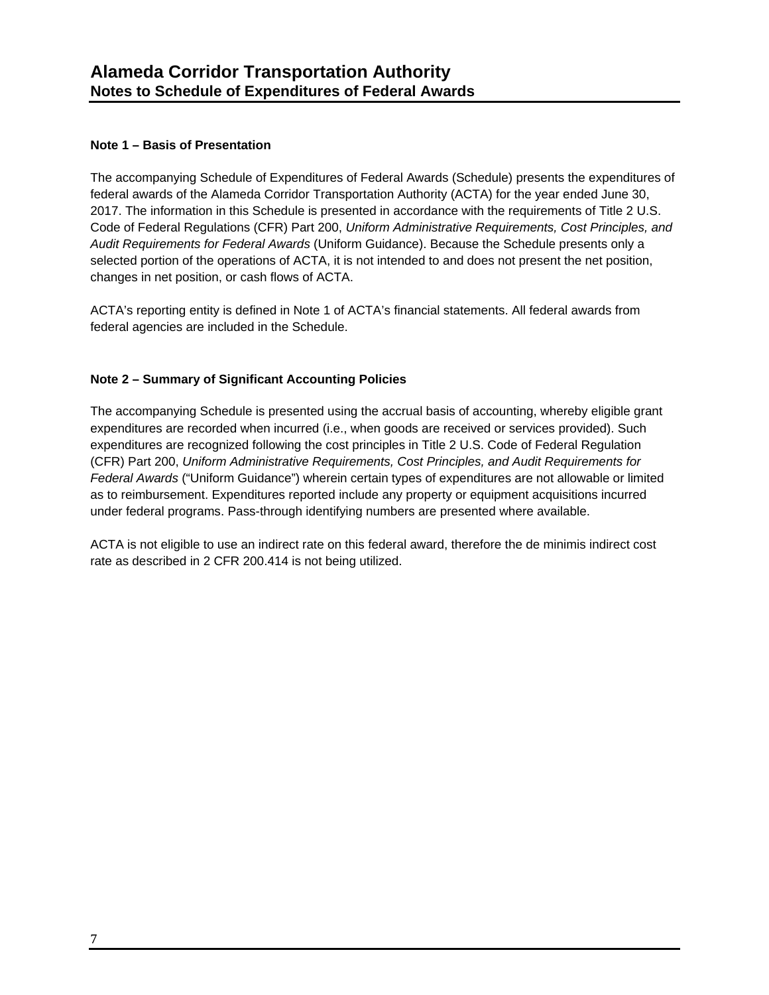#### **Note 1 – Basis of Presentation**

The accompanying Schedule of Expenditures of Federal Awards (Schedule) presents the expenditures of federal awards of the Alameda Corridor Transportation Authority (ACTA) for the year ended June 30, 2017. The information in this Schedule is presented in accordance with the requirements of Title 2 U.S. Code of Federal Regulations (CFR) Part 200, *Uniform Administrative Requirements, Cost Principles, and Audit Requirements for Federal Awards* (Uniform Guidance). Because the Schedule presents only a selected portion of the operations of ACTA, it is not intended to and does not present the net position, changes in net position, or cash flows of ACTA.

ACTA's reporting entity is defined in Note 1 of ACTA's financial statements. All federal awards from federal agencies are included in the Schedule.

#### **Note 2 – Summary of Significant Accounting Policies**

The accompanying Schedule is presented using the accrual basis of accounting, whereby eligible grant expenditures are recorded when incurred (i.e., when goods are received or services provided). Such expenditures are recognized following the cost principles in Title 2 U.S. Code of Federal Regulation (CFR) Part 200, *Uniform Administrative Requirements, Cost Principles, and Audit Requirements for Federal Awards* ("Uniform Guidance") wherein certain types of expenditures are not allowable or limited as to reimbursement. Expenditures reported include any property or equipment acquisitions incurred under federal programs. Pass-through identifying numbers are presented where available.

ACTA is not eligible to use an indirect rate on this federal award, therefore the de minimis indirect cost rate as described in 2 CFR 200.414 is not being utilized.